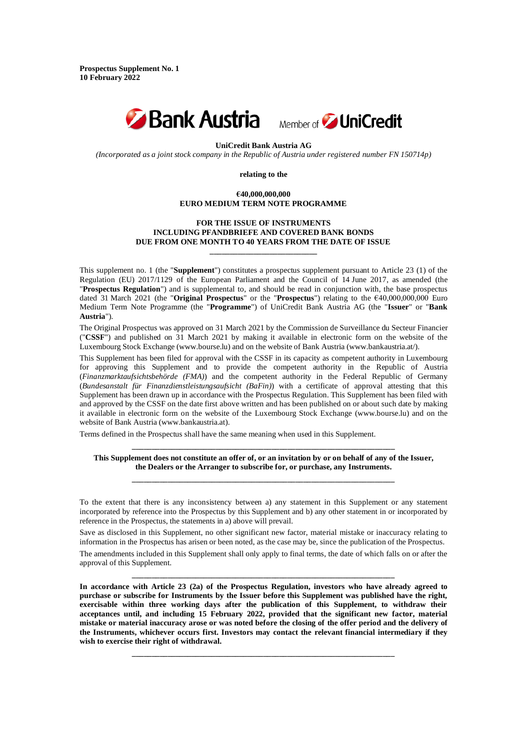**Prospectus Supplement No. 1 10 February 2022**



**UniCredit Bank Austria AG**

*(Incorporated as a joint stock company in the Republic of Austria under registered number FN 150714p)*

**relating to the**

# **€40,000,000,000 EURO MEDIUM TERM NOTE PROGRAMME**

# **FOR THE ISSUE OF INSTRUMENTS INCLUDING PFANDBRIEFE AND COVERED BANK BONDS DUE FROM ONE MONTH TO 40 YEARS FROM THE DATE OF ISSUE**

**\_\_\_\_\_\_\_\_\_\_\_\_\_\_\_\_\_\_\_\_\_\_\_\_\_\_\_**

This supplement no. 1 (the "**Supplement**") constitutes a prospectus supplement pursuant to Article 23 (1) of the Regulation (EU) 2017/1129 of the European Parliament and the Council of 14 June 2017, as amended (the "**Prospectus Regulation**") and is supplemental to, and should be read in conjunction with, the base prospectus dated 31 March 2021 (the "**Original Prospectus**" or the "**Prospectus**") relating to the €40,000,000,000 Euro Medium Term Note Programme (the "**Programme**") of UniCredit Bank Austria AG (the "**Issuer**" or "**Bank Austria**").

The Original Prospectus was approved on 31 March 2021 by the Commission de Surveillance du Secteur Financier ("**CSSF**") and published on 31 March 2021 by making it available in electronic form on the website of the Luxembourg Stock Exchange (www.bourse.lu) and on the website of Bank Austria (www.bankaustria.at/).

This Supplement has been filed for approval with the CSSF in its capacity as competent authority in Luxembourg for approving this Supplement and to provide the competent authority in the Republic of Austria (*Finanzmarktaufsichtsbehörde (FMA)*) and the competent authority in the Federal Republic of Germany (*Bundesanstalt für Finanzdienstleistungsaufsicht (BaFin)*) with a certificate of approval attesting that this Supplement has been drawn up in accordance with the Prospectus Regulation. This Supplement has been filed with and approved by the CSSF on the date first above written and has been published on or about such date by making it available in electronic form on the website of the Luxembourg Stock Exchange (www.bourse.lu) and on the website of Bank Austria (www.bankaustria.at).

Terms defined in the Prospectus shall have the same meaning when used in this Supplement.

**\_\_\_\_\_\_\_\_\_\_\_\_\_\_\_\_\_\_\_\_\_\_\_\_\_\_\_\_\_\_\_\_\_\_\_\_\_\_\_\_\_\_\_\_\_\_\_\_\_\_\_\_\_\_\_\_\_\_\_\_\_\_\_\_\_\_ This Supplement does not constitute an offer of, or an invitation by or on behalf of any of the Issuer, the Dealers or the Arranger to subscribe for, or purchase, any Instruments. \_\_\_\_\_\_\_\_\_\_\_\_\_\_\_\_\_\_\_\_\_\_\_\_\_\_\_\_\_\_\_\_\_\_\_\_\_\_\_\_\_\_\_\_\_\_\_\_\_\_\_\_\_\_\_\_\_\_\_\_\_\_\_\_\_\_**

To the extent that there is any inconsistency between a) any statement in this Supplement or any statement incorporated by reference into the Prospectus by this Supplement and b) any other statement in or incorporated by reference in the Prospectus, the statements in a) above will prevail.

Save as disclosed in this Supplement, no other significant new factor, material mistake or inaccuracy relating to information in the Prospectus has arisen or been noted, as the case may be, since the publication of the Prospectus.

The amendments included in this Supplement shall only apply to final terms, the date of which falls on or after the approval of this Supplement. **\_\_\_\_\_\_\_\_\_\_\_\_\_\_\_\_\_\_\_\_\_\_\_\_\_\_\_\_\_\_\_\_\_\_\_\_\_\_\_\_\_\_\_\_\_\_\_\_\_\_\_\_\_\_\_\_\_\_\_\_\_\_\_\_\_\_**

**In accordance with Article 23 (2a) of the Prospectus Regulation, investors who have already agreed to purchase or subscribe for Instruments by the Issuer before this Supplement was published have the right, exercisable within three working days after the publication of this Supplement, to withdraw their acceptances until, and including 15 February 2022, provided that the significant new factor, material mistake or material inaccuracy arose or was noted before the closing of the offer period and the delivery of the Instruments, whichever occurs first. Investors may contact the relevant financial intermediary if they wish to exercise their right of withdrawal.**

**\_\_\_\_\_\_\_\_\_\_\_\_\_\_\_\_\_\_\_\_\_\_\_\_\_\_\_\_\_\_\_\_\_\_\_\_\_\_\_\_\_\_\_\_\_\_\_\_\_\_\_\_\_\_\_\_\_\_\_\_\_\_\_\_\_\_**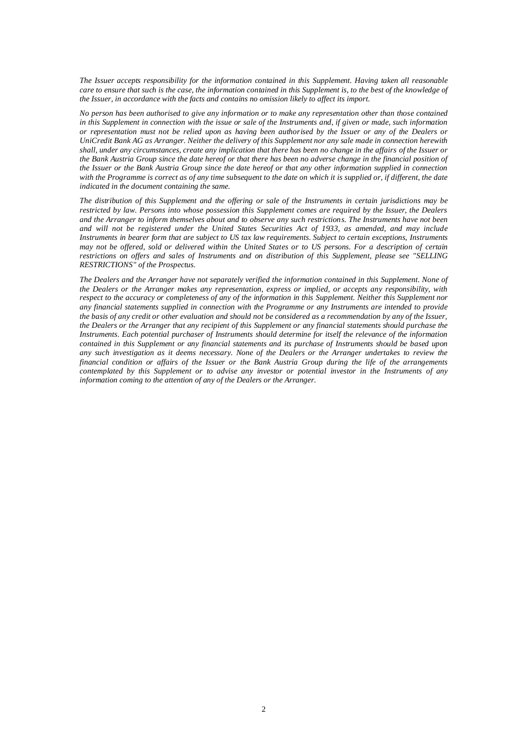*The Issuer accepts responsibility for the information contained in this Supplement. Having taken all reasonable care to ensure that such is the case, the information contained in this Supplement is, to the best of the knowledge of the Issuer, in accordance with the facts and contains no omission likely to affect its import.*

*No person has been authorised to give any information or to make any representation other than those contained in this Supplement in connection with the issue or sale of the Instruments and, if given or made, such information or representation must not be relied upon as having been authorised by the Issuer or any of the Dealers or UniCredit Bank AG as Arranger. Neither the delivery of this Supplement nor any sale made in connection herewith shall, under any circumstances, create any implication that there has been no change in the affairs of the Issuer or the Bank Austria Group since the date hereof or that there has been no adverse change in the financial position of the Issuer or the Bank Austria Group since the date hereof or that any other information supplied in connection with the Programme is correct as of any time subsequent to the date on which it is supplied or, if different, the date indicated in the document containing the same.*

*The distribution of this Supplement and the offering or sale of the Instruments in certain jurisdictions may be restricted by law. Persons into whose possession this Supplement comes are required by the Issuer, the Dealers and the Arranger to inform themselves about and to observe any such restrictions. The Instruments have not been and will not be registered under the United States Securities Act of 1933, as amended, and may include Instruments in bearer form that are subject to US tax law requirements. Subject to certain exceptions, Instruments may not be offered, sold or delivered within the United States or to US persons. For a description of certain restrictions on offers and sales of Instruments and on distribution of this Supplement, please see "SELLING RESTRICTIONS" of the Prospectus.*

*The Dealers and the Arranger have not separately verified the information contained in this Supplement. None of the Dealers or the Arranger makes any representation, express or implied, or accepts any responsibility, with respect to the accuracy or completeness of any of the information in this Supplement. Neither this Supplement nor any financial statements supplied in connection with the Programme or any Instruments are intended to provide the basis of any credit or other evaluation and should not be considered as a recommendation by any of the Issuer, the Dealers or the Arranger that any recipient of this Supplement or any financial statements should purchase the Instruments. Each potential purchaser of Instruments should determine for itself the relevance of the information contained in this Supplement or any financial statements and its purchase of Instruments should be based upon any such investigation as it deems necessary. None of the Dealers or the Arranger undertakes to review the financial condition or affairs of the Issuer or the Bank Austria Group during the life of the arrangements contemplated by this Supplement or to advise any investor or potential investor in the Instruments of any information coming to the attention of any of the Dealers or the Arranger.*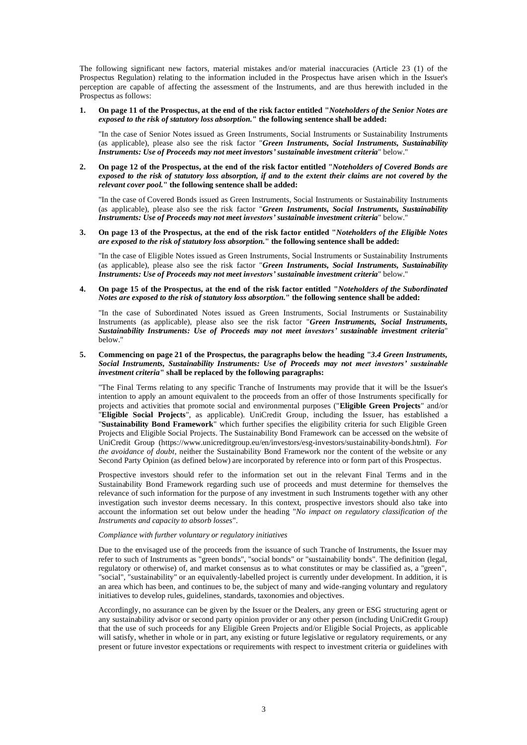The following significant new factors, material mistakes and/or material inaccuracies (Article 23 (1) of the Prospectus Regulation) relating to the information included in the Prospectus have arisen which in the Issuer's perception are capable of affecting the assessment of the Instruments, and are thus herewith included in the Prospectus as follows:

#### **1. On page 11 of the Prospectus, at the end of the risk factor entitled "***Noteholders of the Senior Notes are exposed to the risk of statutory loss absorption.***" the following sentence shall be added:**

"In the case of Senior Notes issued as Green Instruments, Social Instruments or Sustainability Instruments (as applicable), please also see the risk factor "*Green Instruments, Social Instruments, Sustainability Instruments: Use of Proceeds may not meet investors' sustainable investment criteria*" below."

# **2. On page 12 of the Prospectus, at the end of the risk factor entitled "***Noteholders of Covered Bonds are exposed to the risk of statutory loss absorption, if and to the extent their claims are not covered by the relevant cover pool.***" the following sentence shall be added:**

"In the case of Covered Bonds issued as Green Instruments, Social Instruments or Sustainability Instruments (as applicable), please also see the risk factor "*Green Instruments, Social Instruments, Sustainability Instruments: Use of Proceeds may not meet investors' sustainable investment criteria*" below."

**3. On page 13 of the Prospectus, at the end of the risk factor entitled "***Noteholders of the Eligible Notes are exposed to the risk of statutory loss absorption.***" the following sentence shall be added:**

"In the case of Eligible Notes issued as Green Instruments, Social Instruments or Sustainability Instruments (as applicable), please also see the risk factor "*Green Instruments, Social Instruments, Sustainability Instruments: Use of Proceeds may not meet investors' sustainable investment criteria*" below."

## **4. On page 15 of the Prospectus, at the end of the risk factor entitled "***Noteholders of the Subordinated Notes are exposed to the risk of statutory loss absorption.***" the following sentence shall be added:**

"In the case of Subordinated Notes issued as Green Instruments, Social Instruments or Sustainability Instruments (as applicable), please also see the risk factor "*Green Instruments, Social Instruments, Sustainability Instruments: Use of Proceeds may not meet investors' sustainable investment criteria*" below."

# **5. Commencing on page 21 of the Prospectus, the paragraphs below the heading "***3.4 Green Instruments, Social Instruments, Sustainability Instruments: Use of Proceeds may not meet investors' sustainable investment criteria***" shall be replaced by the following paragraphs:**

"The Final Terms relating to any specific Tranche of Instruments may provide that it will be the Issuer's intention to apply an amount equivalent to the proceeds from an offer of those Instruments specifically for projects and activities that promote social and environmental purposes ("**Eligible Green Projects**" and/or "**Eligible Social Projects**", as applicable). UniCredit Group, including the Issuer, has established a "**Sustainability Bond Framework**" which further specifies the eligibility criteria for such Eligible Green Projects and Eligible Social Projects. The Sustainability Bond Framework can be accessed on the website of UniCredit Group (https://www.unicreditgroup.eu/en/investors/esg-investors/sustainability-bonds.html). *For the avoidance of doubt*, neither the Sustainability Bond Framework nor the content of the website or any Second Party Opinion (as defined below) are incorporated by reference into or form part of this Prospectus.

Prospective investors should refer to the information set out in the relevant Final Terms and in the Sustainability Bond Framework regarding such use of proceeds and must determine for themselves the relevance of such information for the purpose of any investment in such Instruments together with any other investigation such investor deems necessary. In this context, prospective investors should also take into account the information set out below under the heading "*No impact on regulatory classification of the Instruments and capacity to absorb losses*".

### *Compliance with further voluntary or regulatory initiatives*

Due to the envisaged use of the proceeds from the issuance of such Tranche of Instruments, the Issuer may refer to such of Instruments as "green bonds", "social bonds" or "sustainability bonds". The definition (legal, regulatory or otherwise) of, and market consensus as to what constitutes or may be classified as, a "green", "social", "sustainability" or an equivalently-labelled project is currently under development. In addition, it is an area which has been, and continues to be, the subject of many and wide-ranging voluntary and regulatory initiatives to develop rules, guidelines, standards, taxonomies and objectives.

Accordingly, no assurance can be given by the Issuer or the Dealers, any green or ESG structuring agent or any sustainability advisor or second party opinion provider or any other person (including UniCredit Group) that the use of such proceeds for any Eligible Green Projects and/or Eligible Social Projects, as applicable will satisfy, whether in whole or in part, any existing or future legislative or regulatory requirements, or any present or future investor expectations or requirements with respect to investment criteria or guidelines with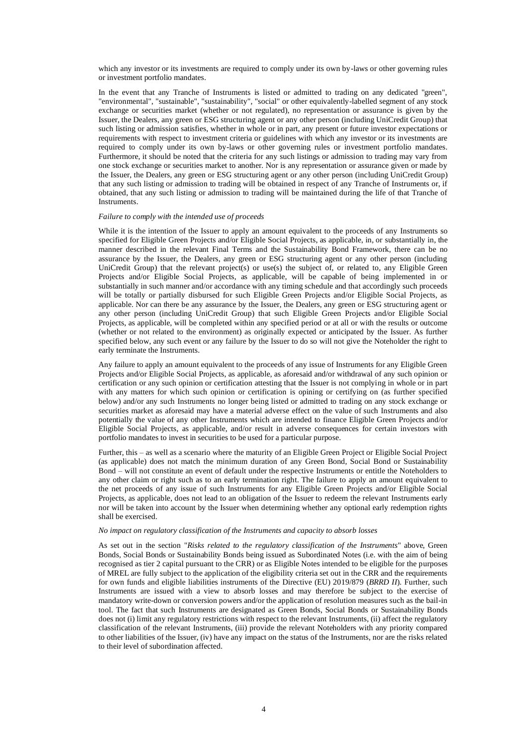which any investor or its investments are required to comply under its own by-laws or other governing rules or investment portfolio mandates.

In the event that any Tranche of Instruments is listed or admitted to trading on any dedicated "green", "environmental", "sustainable", "sustainability", "social" or other equivalently-labelled segment of any stock exchange or securities market (whether or not regulated), no representation or assurance is given by the Issuer, the Dealers, any green or ESG structuring agent or any other person (including UniCredit Group) that such listing or admission satisfies, whether in whole or in part, any present or future investor expectations or requirements with respect to investment criteria or guidelines with which any investor or its investments are required to comply under its own by-laws or other governing rules or investment portfolio mandates. Furthermore, it should be noted that the criteria for any such listings or admission to trading may vary from one stock exchange or securities market to another. Nor is any representation or assurance given or made by the Issuer, the Dealers, any green or ESG structuring agent or any other person (including UniCredit Group) that any such listing or admission to trading will be obtained in respect of any Tranche of Instruments or, if obtained, that any such listing or admission to trading will be maintained during the life of that Tranche of **Instruments** 

### *Failure to comply with the intended use of proceeds*

While it is the intention of the Issuer to apply an amount equivalent to the proceeds of any Instruments so specified for Eligible Green Projects and/or Eligible Social Projects, as applicable, in, or substantially in, the manner described in the relevant Final Terms and the Sustainability Bond Framework, there can be no assurance by the Issuer, the Dealers, any green or ESG structuring agent or any other person (including UniCredit Group) that the relevant project(s) or use(s) the subject of, or related to, any Eligible Green Projects and/or Eligible Social Projects, as applicable, will be capable of being implemented in or substantially in such manner and/or accordance with any timing schedule and that accordingly such proceeds will be totally or partially disbursed for such Eligible Green Projects and/or Eligible Social Projects, as applicable. Nor can there be any assurance by the Issuer, the Dealers, any green or ESG structuring agent or any other person (including UniCredit Group) that such Eligible Green Projects and/or Eligible Social Projects, as applicable, will be completed within any specified period or at all or with the results or outcome (whether or not related to the environment) as originally expected or anticipated by the Issuer. As further specified below, any such event or any failure by the Issuer to do so will not give the Noteholder the right to early terminate the Instruments.

Any failure to apply an amount equivalent to the proceeds of any issue of Instruments for any Eligible Green Projects and/or Eligible Social Projects, as applicable, as aforesaid and/or withdrawal of any such opinion or certification or any such opinion or certification attesting that the Issuer is not complying in whole or in part with any matters for which such opinion or certification is opining or certifying on (as further specified below) and/or any such Instruments no longer being listed or admitted to trading on any stock exchange or securities market as aforesaid may have a material adverse effect on the value of such Instruments and also potentially the value of any other Instruments which are intended to finance Eligible Green Projects and/or Eligible Social Projects, as applicable, and/or result in adverse consequences for certain investors with portfolio mandates to invest in securities to be used for a particular purpose.

Further, this – as well as a scenario where the maturity of an Eligible Green Project or Eligible Social Project (as applicable) does not match the minimum duration of any Green Bond, Social Bond or Sustainability Bond – will not constitute an event of default under the respective Instruments or entitle the Noteholders to any other claim or right such as to an early termination right. The failure to apply an amount equivalent to the net proceeds of any issue of such Instruments for any Eligible Green Projects and/or Eligible Social Projects, as applicable, does not lead to an obligation of the Issuer to redeem the relevant Instruments early nor will be taken into account by the Issuer when determining whether any optional early redemption rights shall be exercised.

#### *No impact on regulatory classification of the Instruments and capacity to absorb losses*

As set out in the section "*Risks related to the regulatory classification of the Instruments*" above, Green Bonds, Social Bonds or Sustainability Bonds being issued as Subordinated Notes (i.e. with the aim of being recognised as tier 2 capital pursuant to the CRR) or as Eligible Notes intended to be eligible for the purposes of MREL are fully subject to the application of the eligibility criteria set out in the CRR and the requirements for own funds and eligible liabilities instruments of the Directive (EU) 2019/879 (*BRRD II*). Further, such Instruments are issued with a view to absorb losses and may therefore be subject to the exercise of mandatory write-down or conversion powers and/or the application of resolution measures such as the bail-in tool. The fact that such Instruments are designated as Green Bonds, Social Bonds or Sustainability Bonds does not (i) limit any regulatory restrictions with respect to the relevant Instruments, (ii) affect the regulatory classification of the relevant Instruments, (iii) provide the relevant Noteholders with any priority compared to other liabilities of the Issuer, (iv) have any impact on the status of the Instruments, nor are the risks related to their level of subordination affected.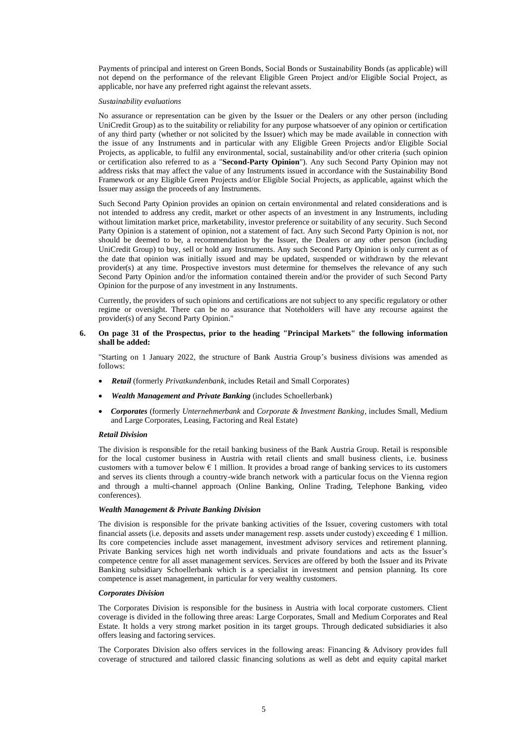Payments of principal and interest on Green Bonds, Social Bonds or Sustainability Bonds (as applicable) will not depend on the performance of the relevant Eligible Green Project and/or Eligible Social Project, as applicable, nor have any preferred right against the relevant assets.

#### *Sustainability evaluations*

No assurance or representation can be given by the Issuer or the Dealers or any other person (including UniCredit Group) as to the suitability or reliability for any purpose whatsoever of any opinion or certification of any third party (whether or not solicited by the Issuer) which may be made available in connection with the issue of any Instruments and in particular with any Eligible Green Projects and/or Eligible Social Projects, as applicable, to fulfil any environmental, social, sustainability and/or other criteria (such opinion or certification also referred to as a "**Second-Party Opinion**"). Any such Second Party Opinion may not address risks that may affect the value of any Instruments issued in accordance with the Sustainability Bond Framework or any Eligible Green Projects and/or Eligible Social Projects, as applicable, against which the Issuer may assign the proceeds of any Instruments.

Such Second Party Opinion provides an opinion on certain environmental and related considerations and is not intended to address any credit, market or other aspects of an investment in any Instruments, including without limitation market price, marketability, investor preference or suitability of any security. Such Second Party Opinion is a statement of opinion, not a statement of fact. Any such Second Party Opinion is not, nor should be deemed to be, a recommendation by the Issuer, the Dealers or any other person (including UniCredit Group) to buy, sell or hold any Instruments. Any such Second Party Opinion is only current as of the date that opinion was initially issued and may be updated, suspended or withdrawn by the relevant provider(s) at any time. Prospective investors must determine for themselves the relevance of any such Second Party Opinion and/or the information contained therein and/or the provider of such Second Party Opinion for the purpose of any investment in any Instruments.

Currently, the providers of such opinions and certifications are not subject to any specific regulatory or other regime or oversight. There can be no assurance that Noteholders will have any recourse against the provider(s) of any Second Party Opinion."

### **6. On page 31 of the Prospectus, prior to the heading "Principal Markets" the following information shall be added:**

"Starting on 1 January 2022, the structure of Bank Austria Group's business divisions was amended as follows:

- *Retail* (formerly *Privatkundenbank*, includes Retail and Small Corporates)
- *Wealth Management and Private Banking* (includes Schoellerbank)
- *Corporates* (formerly *Unternehmerbank* and *Corporate & Investment Banking*, includes Small, Medium and Large Corporates, Leasing, Factoring and Real Estate)

### *Retail Division*

The division is responsible for the retail banking business of the Bank Austria Group. Retail is responsible for the local customer business in Austria with retail clients and small business clients, i.e*.* business customers with a turnover below  $\epsilon$  1 million. It provides a broad range of banking services to its customers and serves its clients through a country-wide branch network with a particular focus on the Vienna region and through a multi-channel approach (Online Banking, Online Trading, Telephone Banking, video conferences).

# *Wealth Management & Private Banking Division*

The division is responsible for the private banking activities of the Issuer, covering customers with total financial assets (i.e. deposits and assets under management resp. assets under custody) exceeding  $\epsilon$  1 million. Its core competencies include asset management, investment advisory services and retirement planning. Private Banking services high net worth individuals and private foundations and acts as the Issuer's competence centre for all asset management services. Services are offered by both the Issuer and its Private Banking subsidiary Schoellerbank which is a specialist in investment and pension planning. Its core competence is asset management, in particular for very wealthy customers.

#### *Corporates Division*

The Corporates Division is responsible for the business in Austria with local corporate customers. Client coverage is divided in the following three areas: Large Corporates, Small and Medium Corporates and Real Estate. It holds a very strong market position in its target groups. Through dedicated subsidiaries it also offers leasing and factoring services.

The Corporates Division also offers services in the following areas: Financing & Advisory provides full coverage of structured and tailored classic financing solutions as well as debt and equity capital market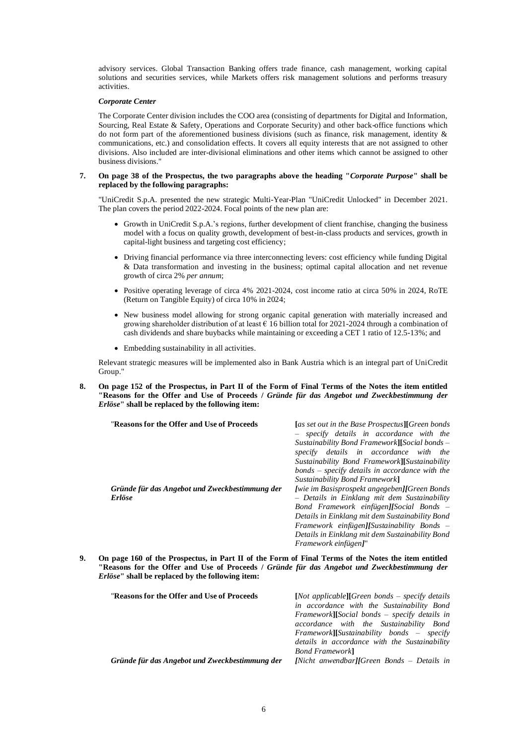advisory services. Global Transaction Banking offers trade finance, cash management, working capital solutions and securities services, while Markets offers risk management solutions and performs treasury activities.

## *Corporate Center*

The Corporate Center division includes the COO area (consisting of departments for Digital and Information, Sourcing, Real Estate & Safety, Operations and Corporate Security) and other back-office functions which do not form part of the aforementioned business divisions (such as finance, risk management, identity & communications, etc.) and consolidation effects. It covers all equity interests that are not assigned to other divisions. Also included are inter-divisional eliminations and other items which cannot be assigned to other business divisions."

# **7. On page 38 of the Prospectus, the two paragraphs above the heading "***Corporate Purpose***" shall be replaced by the following paragraphs:**

"UniCredit S.p.A. presented the new strategic Multi-Year-Plan "UniCredit Unlocked" in December 2021. The plan covers the period 2022-2024. Focal points of the new plan are:

- Growth in UniCredit S.p.A.'s regions, further development of client franchise, changing the business model with a focus on quality growth, development of best-in-class products and services, growth in capital-light business and targeting cost efficiency;
- Driving financial performance via three interconnecting levers: cost efficiency while funding Digital & Data transformation and investing in the business; optimal capital allocation and net revenue growth of circa 2% *per annum*;
- Positive operating leverage of circa 4% 2021-2024, cost income ratio at circa 50% in 2024, RoTE (Return on Tangible Equity) of circa 10% in 2024;
- New business model allowing for strong organic capital generation with materially increased and growing shareholder distribution of at least  $\epsilon$  16 billion total for 2021-2024 through a combination of cash dividends and share buybacks while maintaining or exceeding a CET 1 ratio of 12.5-13%; and
- Embedding sustainability in all activities.

Relevant strategic measures will be implemented also in Bank Austria which is an integral part of UniCredit Group."

**8. On page 152 of the Prospectus, in Part II of the Form of Final Terms of the Notes the item entitled "Reasons for the Offer and Use of Proceeds /** *Gründe für das Angebot und Zweckbestimmung der Erlöse***" shall be replaced by the following item:**

| "Reasons for the Offer and Use of Proceeds"                     | [as set out in the Base Prospectus][Green bonds]<br>- specify details in accordance with the<br>$Sustainability$ Bond Framework][Social bonds $-$<br>specify details in accordance with the<br>Sustainability Bond Framework][Sustainability<br>$bonds$ – specify details in accordance with the<br>Sustainability Bond Framework] |
|-----------------------------------------------------------------|------------------------------------------------------------------------------------------------------------------------------------------------------------------------------------------------------------------------------------------------------------------------------------------------------------------------------------|
| Gründe für das Angebot und Zweckbestimmung der<br><b>Erlöse</b> | [wie im Basisprospekt angegeben][Green Bonds<br>- Details in Einklang mit dem Sustainability<br>Bond Framework einfügen][Social Bonds $=$<br>Details in Einklang mit dem Sustainability Bond<br>Framework einfügen][Sustainability Bonds $-$<br>Details in Einklang mit dem Sustainability Bond<br>Framework einfügen]"            |

**9. On page 160 of the Prospectus, in Part II of the Form of Final Terms of the Notes the item entitled "Reasons for the Offer and Use of Proceeds /** *Gründe für das Angebot und Zweckbestimmung der Erlöse***" shall be replaced by the following item:**

| "Reasons for the Offer and Use of Proceeds"    | $[Not applicable] [Green bonds - specify details]$<br>in accordance with the Sustainability Bond<br>$Framework$ [Social bonds – specify details in<br>accordance with the Sustainability Bond<br>$Framework$ [Sustainability bonds – specify<br>details in accordance with the Sustainability<br><b>Bond Framework</b> |
|------------------------------------------------|------------------------------------------------------------------------------------------------------------------------------------------------------------------------------------------------------------------------------------------------------------------------------------------------------------------------|
| Gründe für das Angebot und Zweckbestimmung der | [Nicht anwendbar][Green Bonds $-$ Details in                                                                                                                                                                                                                                                                           |